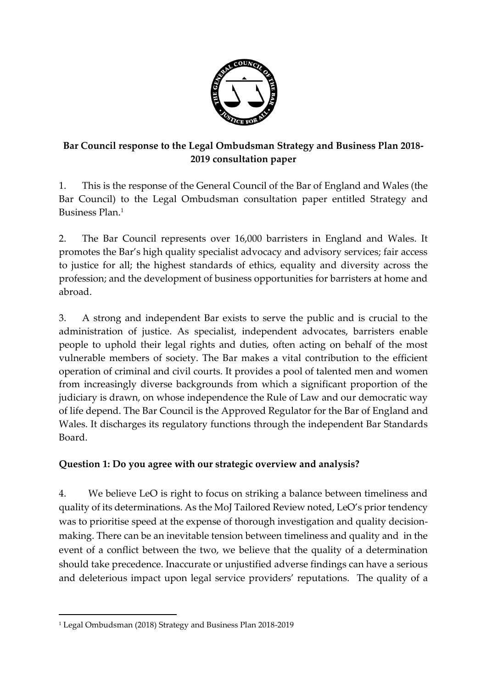

# **Bar Council response to the Legal Ombudsman Strategy and Business Plan 2018- 2019 consultation paper**

1. This is the response of the General Council of the Bar of England and Wales (the Bar Council) to the Legal Ombudsman consultation paper entitled Strategy and Business Plan. 1

2. The Bar Council represents over 16,000 barristers in England and Wales. It promotes the Bar's high quality specialist advocacy and advisory services; fair access to justice for all; the highest standards of ethics, equality and diversity across the profession; and the development of business opportunities for barristers at home and abroad.

3. A strong and independent Bar exists to serve the public and is crucial to the administration of justice. As specialist, independent advocates, barristers enable people to uphold their legal rights and duties, often acting on behalf of the most vulnerable members of society. The Bar makes a vital contribution to the efficient operation of criminal and civil courts. It provides a pool of talented men and women from increasingly diverse backgrounds from which a significant proportion of the judiciary is drawn, on whose independence the Rule of Law and our democratic way of life depend. The Bar Council is the Approved Regulator for the Bar of England and Wales. It discharges its regulatory functions through the independent Bar Standards Board.

### **Question 1: Do you agree with our strategic overview and analysis?**

4. We believe LeO is right to focus on striking a balance between timeliness and quality of its determinations. As the MoJ Tailored Review noted, LeO's prior tendency was to prioritise speed at the expense of thorough investigation and quality decisionmaking. There can be an inevitable tension between timeliness and quality and in the event of a conflict between the two, we believe that the quality of a determination should take precedence. Inaccurate or unjustified adverse findings can have a serious and deleterious impact upon legal service providers' reputations. The quality of a

 $\overline{a}$ 

<sup>1</sup> Legal Ombudsman (2018) Strategy and Business Plan 2018-2019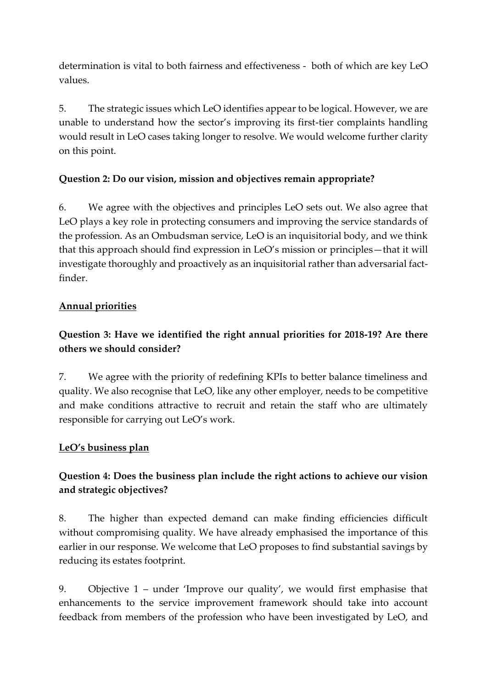determination is vital to both fairness and effectiveness - both of which are key LeO values.

5. The strategic issues which LeO identifies appear to be logical. However, we are unable to understand how the sector's improving its first-tier complaints handling would result in LeO cases taking longer to resolve. We would welcome further clarity on this point.

# **Question 2: Do our vision, mission and objectives remain appropriate?**

6. We agree with the objectives and principles LeO sets out. We also agree that LeO plays a key role in protecting consumers and improving the service standards of the profession. As an Ombudsman service, LeO is an inquisitorial body, and we think that this approach should find expression in LeO's mission or principles—that it will investigate thoroughly and proactively as an inquisitorial rather than adversarial factfinder.

# **Annual priorities**

# **Question 3: Have we identified the right annual priorities for 2018-19? Are there others we should consider?**

7. We agree with the priority of redefining KPIs to better balance timeliness and quality. We also recognise that LeO, like any other employer, needs to be competitive and make conditions attractive to recruit and retain the staff who are ultimately responsible for carrying out LeO's work.

### **LeO's business plan**

# **Question 4: Does the business plan include the right actions to achieve our vision and strategic objectives?**

8. The higher than expected demand can make finding efficiencies difficult without compromising quality. We have already emphasised the importance of this earlier in our response. We welcome that LeO proposes to find substantial savings by reducing its estates footprint.

9. Objective 1 – under 'Improve our quality', we would first emphasise that enhancements to the service improvement framework should take into account feedback from members of the profession who have been investigated by LeO, and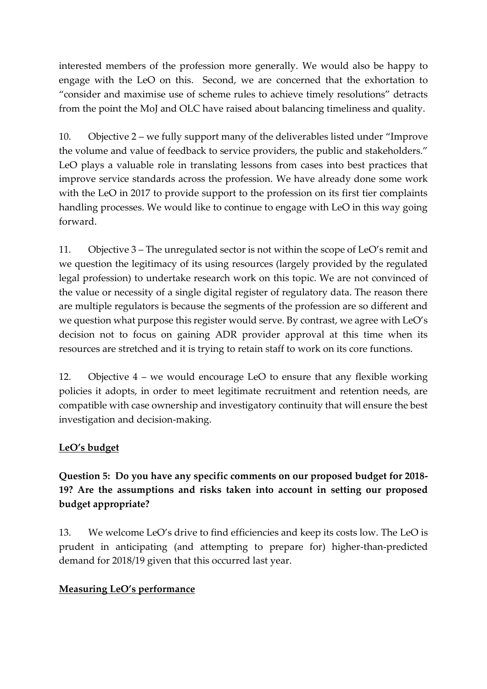interested members of the profession more generally. We would also be happy to engage with the LeO on this. Second, we are concerned that the exhortation to "consider and maximise use of scheme rules to achieve timely resolutions" detracts from the point the MoJ and OLC have raised about balancing timeliness and quality.

10. Objective 2 – we fully support many of the deliverables listed under "Improve the volume and value of feedback to service providers, the public and stakeholders." LeO plays a valuable role in translating lessons from cases into best practices that improve service standards across the profession. We have already done some work with the LeO in 2017 to provide support to the profession on its first tier complaints handling processes. We would like to continue to engage with LeO in this way going forward.

11. Objective 3 – The unregulated sector is not within the scope of LeO's remit and we question the legitimacy of its using resources (largely provided by the regulated legal profession) to undertake research work on this topic. We are not convinced of the value or necessity of a single digital register of regulatory data. The reason there are multiple regulators is because the segments of the profession are so different and we question what purpose this register would serve. By contrast, we agree with LeO's decision not to focus on gaining ADR provider approval at this time when its resources are stretched and it is trying to retain staff to work on its core functions.

12. Objective 4 – we would encourage LeO to ensure that any flexible working policies it adopts, in order to meet legitimate recruitment and retention needs, are compatible with case ownership and investigatory continuity that will ensure the best investigation and decision-making.

### **LeO's budget**

# **Question 5: Do you have any specific comments on our proposed budget for 2018- 19? Are the assumptions and risks taken into account in setting our proposed budget appropriate?**

13. We welcome LeO's drive to find efficiencies and keep its costs low. The LeO is prudent in anticipating (and attempting to prepare for) higher-than-predicted demand for 2018/19 given that this occurred last year.

#### **Measuring LeO's performance**